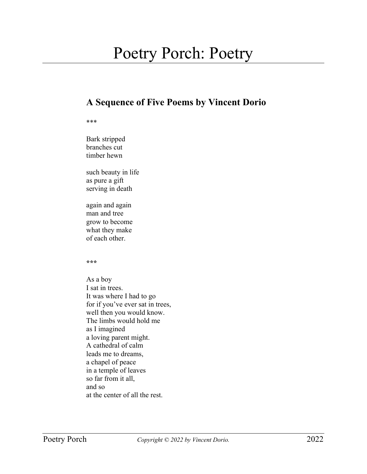## Poetry Porch: Poetry

## **A Sequence of Five Poems by Vincent Dorio**

## \*\*\*

Bark stripped branches cut timber hewn

such beauty in life as pure a gift serving in death

again and again man and tree grow to become what they make of each other.

**\*\*\***

As a boy I sat in trees. It was where I had to go for if you've ever sat in trees, well then you would know. The limbs would hold me as I imagined a loving parent might. A cathedral of calm leads me to dreams, a chapel of peace in a temple of leaves so far from it all, and so at the center of all the rest.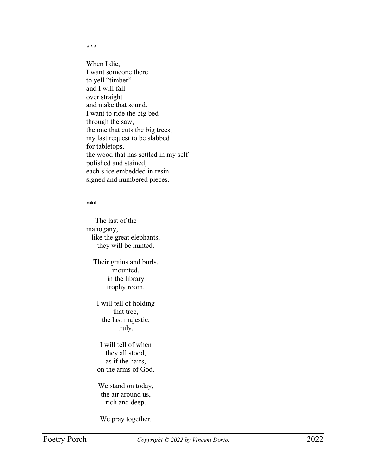**\*\*\***

When I die, I want someone there to yell "timber" and I will fall over straight and make that sound. I want to ride the big bed through the saw, the one that cuts the big trees, my last request to be slabbed for tabletops, the wood that has settled in my self polished and stained, each slice embedded in resin signed and numbered pieces.

## \*\*\*

 The last of the mahogany, like the great elephants, they will be hunted.

Their grains and burls, mounted, in the library trophy room.

I will tell of holding that tree, the last majestic, truly.

I will tell of when they all stood, as if the hairs, on the arms of God.

We stand on today, the air around us, rich and deep.

We pray together.